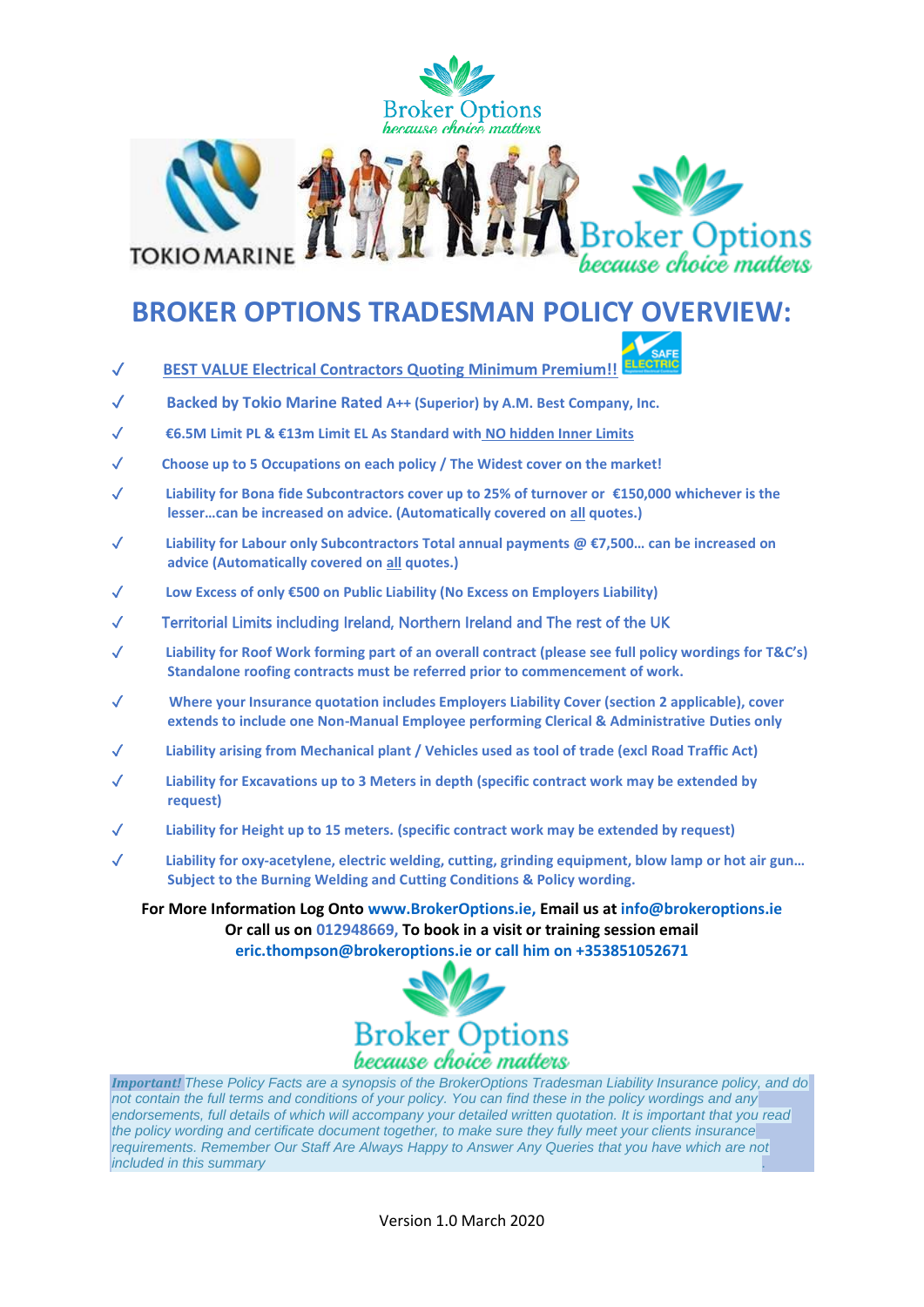

## **BROKER OPTIONS TRADESMAN POLICY OVERVIEW:**

- ✓ **BEST VALUE Electrical Contractors Quoting Minimum Premium!!**
	- ✓ **Backed by Tokio Marine Rated A++ (Superior) by A.M. Best Company, Inc.**
	- ✓ **€6.5M Limit PL & €13m Limit EL As Standard with NO hidden Inner Limits**
	- ✓ **Choose up to 5 Occupations on each policy / The Widest cover on the market!**
	- ✓ **Liability for Bona fide Subcontractors cover up to 25% of turnover or €150,000 whichever is the lesser…can be increased on advice. (Automatically covered on all quotes.)**
	- ✓ **Liability for Labour only Subcontractors Total annual payments @ €7,500… can be increased on advice (Automatically covered on all quotes.)**
	- ✓ **Low Excess of only €500 on Public Liability (No Excess on Employers Liability)**
	- ✓ Territorial Limits including Ireland, Northern Ireland and The rest of the UK
	- ✓ **Liability for Roof Work forming part of an overall contract (please see full policy wordings for T&C's) Standalone roofing contracts must be referred prior to commencement of work.**
	- ✓ **Where your Insurance quotation includes Employers Liability Cover (section 2 applicable), cover extends to include one Non-Manual Employee performing Clerical & Administrative Duties only**
	- ✓ **Liability arising from Mechanical plant / Vehicles used as tool of trade (excl Road Traffic Act)**
	- Liability for Excavations up to 3 Meters in depth (specific contract work may be extended by **request)**
	- ✓ **Liability for Height up to 15 meters. (specific contract work may be extended by request)**
	- ✓ **Liability for oxy-acetylene, electric welding, cutting, grinding equipment, blow lamp or hot air gun… Subject to the Burning Welding and Cutting Conditions & Policy wording.**

**For More Information Log Onto [www.BrokerOptions.ie,](http://www.brokeroptions.ie/) Email us at [info@brokeroptions.ie](mailto:info@brokeroptions.ie) Or call us on 012948669, To book in a visit or training session email [eric.thompson@brokeroptions.ie](mailto:eric.thompson@brokeroptions.ie) or call him on +353851052671**



*Important! These Policy Facts are a synopsis of the BrokerOptions Tradesman Liability Insurance policy, and do not contain the full terms and conditions of your policy. You can find these in the policy wordings and any endorsements, full details of which will accompany your detailed written quotation. It is important that you read the policy wording and certificate document together, to make sure they fully meet your clients insurance requirements. Remember Our Staff Are Always Happy to Answer Any Queries that you have which are not included in this summary* .

Version 1.0 March 2020